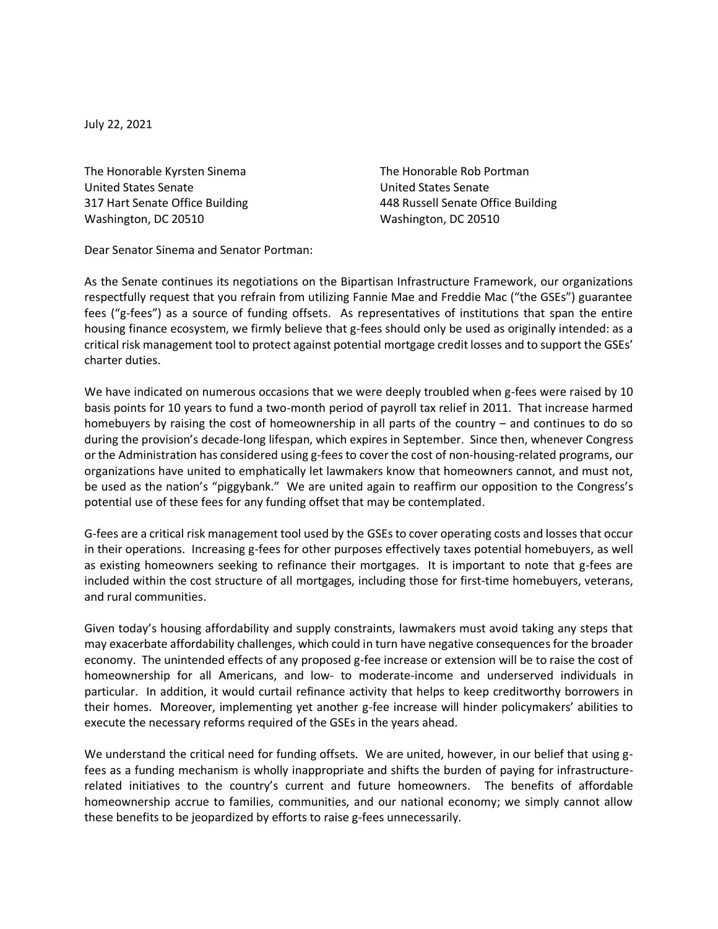July 22, 2021

The Honorable Kyrsten Sinema<br>
The Honorable Rob Portman United States Senate United States Senate Washington, DC 20510 Washington, DC 20510

317 Hart Senate Office Building 448 Russell Senate Office Building

Dear Senator Sinema and Senator Portman:

As the Senate continues its negotiations on the Bipartisan Infrastructure Framework, our organizations respectfully request that you refrain from utilizing Fannie Mae and Freddie Mac ("the GSEs") guarantee fees ("g-fees") as a source of funding offsets. As representatives of institutions that span the entire housing finance ecosystem, we firmly believe that g-fees should only be used as originally intended: as a critical risk management tool to protect against potential mortgage credit losses and to support the GSEs' charter duties.

We have indicated on numerous occasions that we were deeply troubled when g-fees were raised by 10 basis points for 10 years to fund a two-month period of payroll tax relief in 2011. That increase harmed homebuyers by raising the cost of homeownership in all parts of the country – and continues to do so during the provision's decade-long lifespan, which expires in September. Since then, whenever Congress or the Administration has considered using g-fees to cover the cost of non-housing-related programs, our organizations have united to emphatically let lawmakers know that homeowners cannot, and must not, be used as the nation's "piggybank." We are united again to reaffirm our opposition to the Congress's potential use of these fees for any funding offset that may be contemplated.

G-fees are a critical risk management tool used by the GSEs to cover operating costs and losses that occur in their operations. Increasing g-fees for other purposes effectively taxes potential homebuyers, as well as existing homeowners seeking to refinance their mortgages. It is important to note that g-fees are included within the cost structure of all mortgages, including those for first-time homebuyers, veterans, and rural communities.

Given today's housing affordability and supply constraints, lawmakers must avoid taking any steps that may exacerbate affordability challenges, which could in turn have negative consequences for the broader economy. The unintended effects of any proposed g-fee increase or extension will be to raise the cost of homeownership for all Americans, and low- to moderate-income and underserved individuals in particular. In addition, it would curtail refinance activity that helps to keep creditworthy borrowers in their homes. Moreover, implementing yet another g-fee increase will hinder policymakers' abilities to execute the necessary reforms required of the GSEs in the years ahead.

We understand the critical need for funding offsets. We are united, however, in our belief that using gfees as a funding mechanism is wholly inappropriate and shifts the burden of paying for infrastructurerelated initiatives to the country's current and future homeowners. The benefits of affordable homeownership accrue to families, communities, and our national economy; we simply cannot allow these benefits to be jeopardized by efforts to raise g-fees unnecessarily.